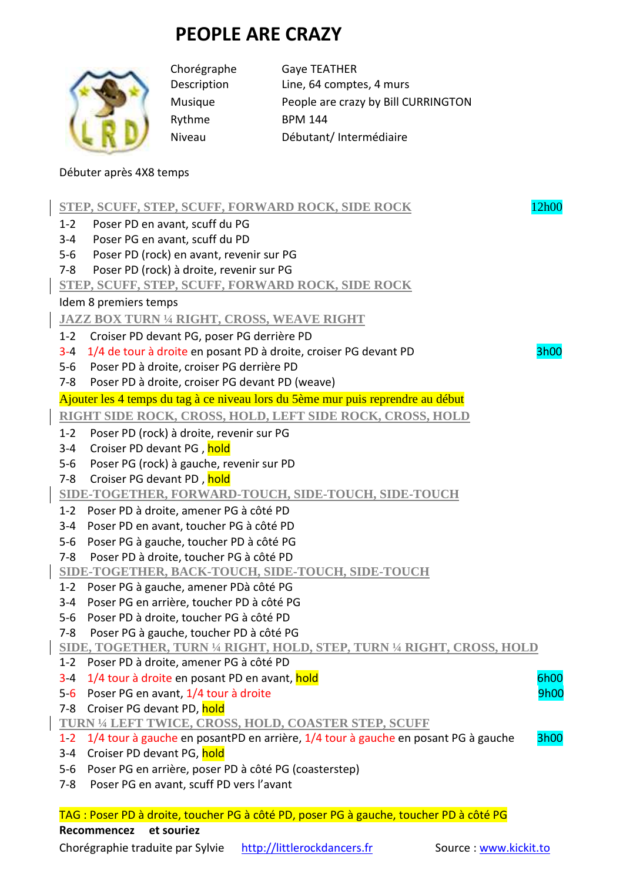## **PEOPLE ARE CRAZY**



Rythme BPM 144

Chorégraphe Gaye TEATHER Description Line, 64 comptes, 4 murs Musique People are crazy by Bill CURRINGTON Niveau Débutant/ Intermédiaire

## Débuter après 4X8 temps

|                                                                                 | 12h00<br>STEP, SCUFF, STEP, SCUFF, FORWARD ROCK, SIDE ROCK                                |  |  |  |  |
|---------------------------------------------------------------------------------|-------------------------------------------------------------------------------------------|--|--|--|--|
| $1 - 2$                                                                         | Poser PD en avant, scuff du PG                                                            |  |  |  |  |
| $3 - 4$                                                                         | Poser PG en avant, scuff du PD                                                            |  |  |  |  |
| $5-6$                                                                           | Poser PD (rock) en avant, revenir sur PG                                                  |  |  |  |  |
| $7 - 8$                                                                         | Poser PD (rock) à droite, revenir sur PG                                                  |  |  |  |  |
| STEP, SCUFF, STEP, SCUFF, FORWARD ROCK, SIDE ROCK                               |                                                                                           |  |  |  |  |
| Idem 8 premiers temps                                                           |                                                                                           |  |  |  |  |
| <b>JAZZ BOX TURN 1/4 RIGHT, CROSS, WEAVE RIGHT</b>                              |                                                                                           |  |  |  |  |
| $1-2$                                                                           | Croiser PD devant PG, poser PG derrière PD                                                |  |  |  |  |
| $3 - 4$                                                                         | 1/4 de tour à droite en posant PD à droite, croiser PG devant PD<br>3h00                  |  |  |  |  |
| $5-6$                                                                           | Poser PD à droite, croiser PG derrière PD                                                 |  |  |  |  |
| $7-8$                                                                           | Poser PD à droite, croiser PG devant PD (weave)                                           |  |  |  |  |
| Ajouter les 4 temps du tag à ce niveau lors du 5ème mur puis reprendre au début |                                                                                           |  |  |  |  |
| RIGHT SIDE ROCK, CROSS, HOLD, LEFT SIDE ROCK, CROSS, HOLD                       |                                                                                           |  |  |  |  |
| $1 - 2$                                                                         | Poser PD (rock) à droite, revenir sur PG                                                  |  |  |  |  |
| $3 - 4$                                                                         | Croiser PD devant PG, hold                                                                |  |  |  |  |
| $5-6$                                                                           | Poser PG (rock) à gauche, revenir sur PD                                                  |  |  |  |  |
| $7 - 8$                                                                         | Croiser PG devant PD, hold                                                                |  |  |  |  |
|                                                                                 | SIDE-TOGETHER, FORWARD-TOUCH, SIDE-TOUCH, SIDE-TOUCH                                      |  |  |  |  |
| $1-2$                                                                           | Poser PD à droite, amener PG à côté PD                                                    |  |  |  |  |
| $3 - 4$                                                                         | Poser PD en avant, toucher PG à côté PD                                                   |  |  |  |  |
| $5-6$                                                                           | Poser PG à gauche, toucher PD à côté PG                                                   |  |  |  |  |
| $7 - 8$                                                                         | Poser PD à droite, toucher PG à côté PD                                                   |  |  |  |  |
| SIDE-TOGETHER, BACK-TOUCH, SIDE-TOUCH, SIDE-TOUCH                               |                                                                                           |  |  |  |  |
| $1 - 2$                                                                         | Poser PG à gauche, amener PDà côté PG                                                     |  |  |  |  |
| $3 - 4$                                                                         | Poser PG en arrière, toucher PD à côté PG                                                 |  |  |  |  |
| $5-6$                                                                           | Poser PD à droite, toucher PG à côté PD                                                   |  |  |  |  |
| $7 - 8$                                                                         | Poser PG à gauche, toucher PD à côté PG                                                   |  |  |  |  |
| SIDE, TOGETHER, TURN 1/4 RIGHT, HOLD, STEP, TURN 1/4 RIGHT, CROSS, HOLD         |                                                                                           |  |  |  |  |
| $1 - 2$                                                                         | Poser PD à droite, amener PG à côté PD                                                    |  |  |  |  |
| $3 - 4$                                                                         | 6h00<br>1/4 tour à droite en posant PD en avant, hold                                     |  |  |  |  |
| $5-6$                                                                           | Poser PG en avant, 1/4 tour à droite<br>9h00                                              |  |  |  |  |
| $7 - 8$                                                                         | Croiser PG devant PD, hold                                                                |  |  |  |  |
| <b>TURN 1/4 LEFT TWICE, CROSS, HOLD, COASTER STEP, SCUFF</b>                    |                                                                                           |  |  |  |  |
| 12                                                                              | 1/4 tour à gauche en posantPD en arrière, 1/4 tour à gauche en posant PG à gauche<br>3h00 |  |  |  |  |
| $3 - 4$                                                                         | Croiser PD devant PG, hold                                                                |  |  |  |  |
| $5-6$                                                                           | Poser PG en arrière, poser PD à côté PG (coasterstep)                                     |  |  |  |  |
| $7-8$                                                                           | Poser PG en avant, scuff PD vers l'avant                                                  |  |  |  |  |
|                                                                                 | TAG : Poser PD à droite, toucher PG à côté PD, poser PG à gauche, toucher PD à côté PG    |  |  |  |  |

**Recommencez et souriez** 

Chorégraphie traduite par Sylvie http://littlerockdancers.fr Source : www.kickit.to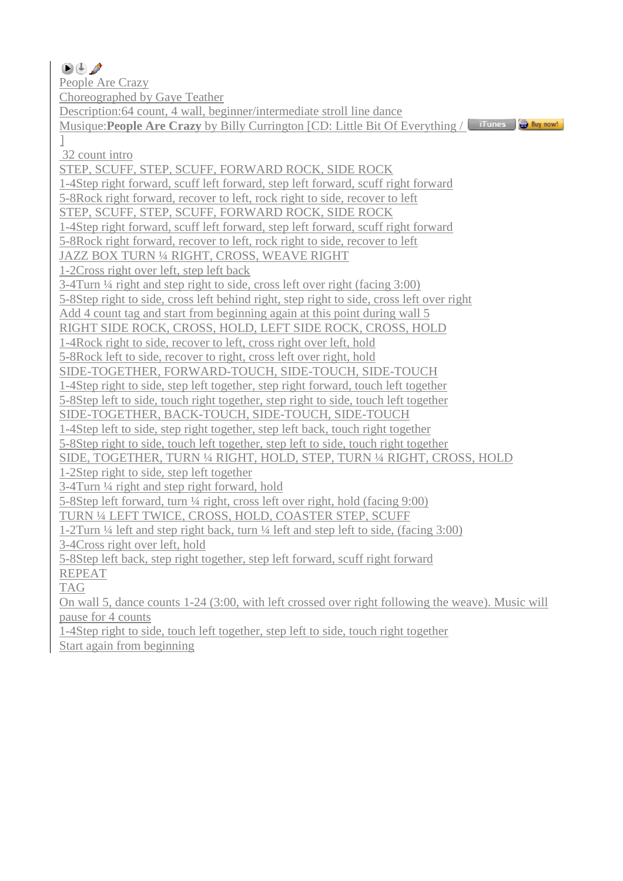$\mathbf{I}$ 

People Are Crazy

Choreographed by Gaye Teather

Description:64 count, 4 wall, beginner/intermediate stroll line dance

Musique:**People Are Crazy** by Billy Currington [CD: Little Bit Of Everything /

32 count intro

STEP, SCUFF, STEP, SCUFF, FORWARD ROCK, SIDE ROCK

1-4Step right forward, scuff left forward, step left forward, scuff right forward

5-8Rock right forward, recover to left, rock right to side, recover to left

STEP, SCUFF, STEP, SCUFF, FORWARD ROCK, SIDE ROCK

1-4Step right forward, scuff left forward, step left forward, scuff right forward

5-8Rock right forward, recover to left, rock right to side, recover to left

JAZZ BOX TURN ¼ RIGHT, CROSS, WEAVE RIGHT

1-2Cross right over left, step left back

3-4Turn ¼ right and step right to side, cross left over right (facing 3:00)

5-8Step right to side, cross left behind right, step right to side, cross left over right

Add 4 count tag and start from beginning again at this point during wall 5

RIGHT SIDE ROCK, CROSS, HOLD, LEFT SIDE ROCK, CROSS, HOLD

1-4Rock right to side, recover to left, cross right over left, hold

5-8Rock left to side, recover to right, cross left over right, hold

SIDE-TOGETHER, FORWARD-TOUCH, SIDE-TOUCH, SIDE-TOUCH

1-4Step right to side, step left together, step right forward, touch left together

5-8Step left to side, touch right together, step right to side, touch left together

SIDE-TOGETHER, BACK-TOUCH, SIDE-TOUCH, SIDE-TOUCH

1-4Step left to side, step right together, step left back, touch right together

5-8Step right to side, touch left together, step left to side, touch right together

SIDE, TOGETHER, TURN ¼ RIGHT, HOLD, STEP, TURN ¼ RIGHT, CROSS, HOLD

1-2Step right to side, step left together

3-4Turn ¼ right and step right forward, hold

5-8Step left forward, turn ¼ right, cross left over right, hold (facing 9:00)

TURN ¼ LEFT TWICE, CROSS, HOLD, COASTER STEP, SCUFF

1-2Turn ¼ left and step right back, turn ¼ left and step left to side, (facing 3:00)

3-4Cross right over left, hold

5-8Step left back, step right together, step left forward, scuff right forward REPEAT

TAG

On wall 5, dance counts 1-24 (3:00, with left crossed over right following the weave). Music will pause for 4 counts

1-4Step right to side, touch left together, step left to side, touch right together Start again from beginning